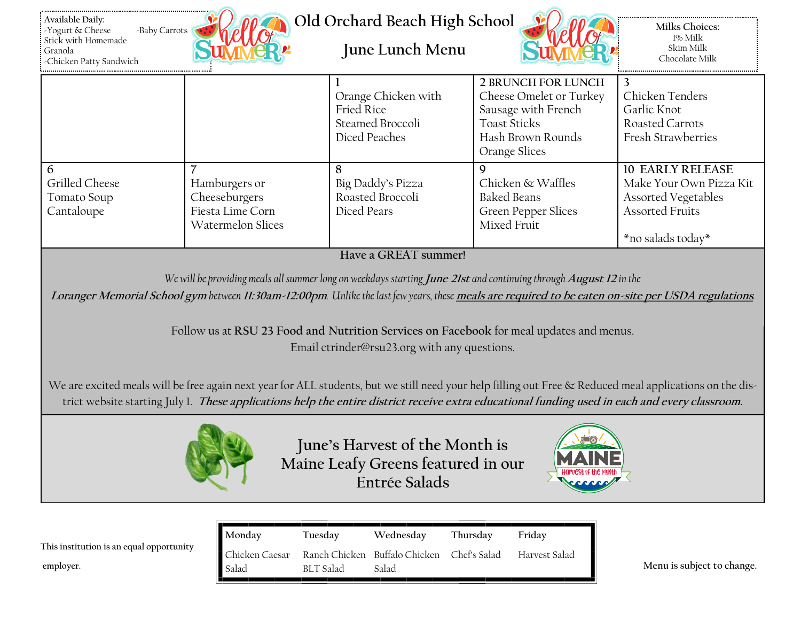| Available Daily:<br>-Baby Carrots<br>Yogurt & Cheese<br>Stick with Homemade<br>Granola<br>-Chicken Patty Sandwich                                                                                                                                                                                                                                                                                                                           |                                                                                | Old Orchard Beach High School<br>June Lunch Menu                              |                                                                                                                                          | <b>Milks Choices:</b><br>1% Milk<br>Skim Milk<br>Chocolate Milk                                                          |  |  |  |
|---------------------------------------------------------------------------------------------------------------------------------------------------------------------------------------------------------------------------------------------------------------------------------------------------------------------------------------------------------------------------------------------------------------------------------------------|--------------------------------------------------------------------------------|-------------------------------------------------------------------------------|------------------------------------------------------------------------------------------------------------------------------------------|--------------------------------------------------------------------------------------------------------------------------|--|--|--|
|                                                                                                                                                                                                                                                                                                                                                                                                                                             |                                                                                | Orange Chicken with<br><b>Fried Rice</b><br>Steamed Broccoli<br>Diced Peaches | <b>2 BRUNCH FOR LUNCH</b><br>Cheese Omelet or Turkey<br>Sausage with French<br><b>Toast Sticks</b><br>Hash Brown Rounds<br>Orange Slices | 3<br>Chicken Tenders<br>Garlic Knot<br>Roasted Carrots<br>Fresh Strawberries                                             |  |  |  |
| $\overline{7}$<br>6<br>Grilled Cheese<br>Tomato Soup<br>Cantaloupe                                                                                                                                                                                                                                                                                                                                                                          | Hamburgers or<br>Cheeseburgers<br>Fiesta Lime Corn<br><b>Watermelon Slices</b> | 8<br>Big Daddy's Pizza<br>Roasted Broccoli<br>Diced Pears                     | 9<br>Chicken & Waffles<br><b>Baked Beans</b><br><b>Green Pepper Slices</b><br>Mixed Fruit                                                | <b>10 EARLY RELEASE</b><br>Make Your Own Pizza Kit<br>Assorted Vegetables<br><b>Assorted Fruits</b><br>*no salads today* |  |  |  |
| Have a GREAT summer!<br>We will be providing meals all summer long on weekdays starting June 21st and continuing through August 12 in the<br>Loranger Memorial School gym between 11:30am-12:00pm. Unlike the last few years, these meals are required to be eaten on-site per USDA regulations.<br>Follow us at RSU 23 Food and Nutrition Services on Facebook for meal updates and menus.<br>Email ctrinder@rsu23.org with any questions. |                                                                                |                                                                               |                                                                                                                                          |                                                                                                                          |  |  |  |
| We are excited meals will be free again next year for ALL students, but we still need your help filling out Free & Reduced meal applications on the dis-<br>trict website starting July 1. These applications help the entire district receive extra educational funding used in each and every classroom.                                                                                                                                  |                                                                                |                                                                               |                                                                                                                                          |                                                                                                                          |  |  |  |
| June's Harvest of the Month is<br>Maine Leafy Greens featured in our<br>talarest of the mouti<br>Entrée Salads                                                                                                                                                                                                                                                                                                                              |                                                                                |                                                                               |                                                                                                                                          |                                                                                                                          |  |  |  |
| This institution is an equal opportunity<br>employer.                                                                                                                                                                                                                                                                                                                                                                                       | Monday<br>Tuesday<br>Chicken Caesar<br><b>BLT</b> Salad<br>Salad               | Wednesday<br>Thursday<br>Ranch Chicken<br>Buffalo Chicken<br>Salad            | Friday<br>Chef's Salad<br>Harvest Salad                                                                                                  | Menu is subject to change.                                                                                               |  |  |  |